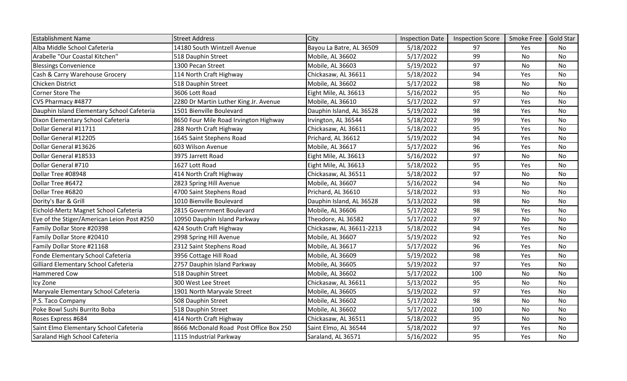| <b>Establishment Name</b>                  | <b>Street Address</b>                  | City                     | <b>Inspection Date</b> | <b>Inspection Score</b> | Smoke Free | Gold Star |
|--------------------------------------------|----------------------------------------|--------------------------|------------------------|-------------------------|------------|-----------|
| Alba Middle School Cafeteria               | 14180 South Wintzell Avenue            | Bayou La Batre, AL 36509 | 5/18/2022              | 97                      | Yes        | <b>No</b> |
| Arabelle "Our Coastal Kitchen"             | 518 Dauphin Street                     | Mobile, AL 36602         | 5/17/2022              | 99                      | No         | No        |
| <b>Blessings Convenience</b>               | 1300 Pecan Street                      | Mobile, AL 36603         | 5/19/2022              | 97                      | No         | No        |
| Cash & Carry Warehouse Grocery             | 114 North Craft Highway                | Chickasaw, AL 36611      | 5/18/2022              | 94                      | Yes        | <b>No</b> |
| Chicken District                           | 518 Dauphin Street                     | Mobile, AL 36602         | 5/17/2022              | 98                      | No         | No        |
| Corner Store The                           | 3606 Lott Road                         | Eight Mile, AL 36613     | 5/16/2022              | 95                      | No         | No        |
| CVS Pharmacy #4877                         | 2280 Dr Martin Luther King Jr. Avenue  | Mobile, AL 36610         | 5/17/2022              | 97                      | Yes        | <b>No</b> |
| Dauphin Island Elementary School Cafeteria | 1501 Bienville Boulevard               | Dauphin Island, AL 36528 | 5/19/2022              | 98                      | Yes        | No        |
| Dixon Elementary School Cafeteria          | 8650 Four Mile Road Irvington Highway  | Irvington, AL 36544      | 5/18/2022              | 99                      | Yes        | <b>No</b> |
| Dollar General #11711                      | 288 North Craft Highway                | Chickasaw, AL 36611      | 5/18/2022              | 95                      | Yes        | No        |
| Dollar General #12205                      | 1645 Saint Stephens Road               | Prichard, AL 36612       | 5/19/2022              | 94                      | Yes        | No        |
| Dollar General #13626                      | 603 Wilson Avenue                      | Mobile, AL 36617         | 5/17/2022              | 96                      | Yes        | <b>No</b> |
| Dollar General #18533                      | 3975 Jarrett Road                      | Eight Mile, AL 36613     | 5/16/2022              | 97                      | No         | No        |
| Dollar General #710                        | 1627 Lott Road                         | Eight Mile, AL 36613     | 5/18/2022              | 95                      | Yes        | <b>No</b> |
| Dollar Tree #08948                         | 414 North Craft Highway                | Chickasaw, AL 36511      | 5/18/2022              | 97                      | No         | No        |
| Dollar Tree #6472                          | 2823 Spring Hill Avenue                | Mobile, AL 36607         | 5/16/2022              | 94                      | No         | No        |
| Dollar Tree #6820                          | 4700 Saint Stephens Road               | Prichard, AL 36610       | 5/18/2022              | 93                      | No         | <b>No</b> |
| Dority's Bar & Grill                       | 1010 Bienville Boulevard               | Dauphin Island, AL 36528 | 5/13/2022              | 98                      | No         | No        |
| Eichold-Mertz Magnet School Cafeteria      | 2815 Government Boulevard              | Mobile, AL 36606         | 5/17/2022              | 98                      | Yes        | No        |
| Eye of the Stiger/American Leion Post #250 | 10950 Dauphin Island Parkway           | Theodore, AL 36582       | 5/17/2022              | 97                      | No         | No        |
| Family Dollar Store #20398                 | 424 South Craft Highway                | Chickasaw, AL 36611-2213 | 5/18/2022              | 94                      | Yes        | No        |
| Family Dollar Store #20410                 | 2998 Spring Hill Avenue                | Mobile, AL 36607         | 5/19/2022              | 92                      | Yes        | No        |
| Family Dollar Store #21168                 | 2312 Saint Stephens Road               | Mobile, AL 36617         | 5/17/2022              | 96                      | Yes        | <b>No</b> |
| Fonde Elementary School Cafeteria          | 3956 Cottage Hill Road                 | Mobile, AL 36609         | 5/19/2022              | 98                      | Yes        | No        |
| Gilliard Elementary School Cafeteria       | 2757 Dauphin Island Parkway            | Mobile, AL 36605         | 5/19/2022              | 97                      | Yes        | No        |
| Hammered Cow                               | 518 Dauphin Street                     | Mobile, AL 36602         | 5/17/2022              | 100                     | No         | No        |
| Icy Zone                                   | 300 West Lee Street                    | Chickasaw, AL 36611      | 5/13/2022              | 95                      | No         | No        |
| Maryvale Elementary School Cafeteria       | 1901 North Maryvale Street             | Mobile, AL 36605         | 5/19/2022              | 97                      | Yes        | <b>No</b> |
| P.S. Taco Company                          | 508 Dauphin Street                     | Mobile, AL 36602         | 5/17/2022              | 98                      | No         | No        |
| Poke Bowl Sushi Burrito Boba               | 518 Dauphin Street                     | Mobile, AL 36602         | 5/17/2022              | 100                     | No         | No        |
| Roses Express #684                         | 414 North Craft Highway                | Chickasaw, AL 36511      | 5/18/2022              | 95                      | No         | No        |
| Saint Elmo Elementary School Cafeteria     | 8666 McDonald Road Post Office Box 250 | Saint Elmo, AL 36544     | 5/18/2022              | 97                      | Yes        | No        |
| Saraland High School Cafeteria             | 1115 Industrial Parkway                | Saraland, AL 36571       | 5/16/2022              | 95                      | Yes        | <b>No</b> |